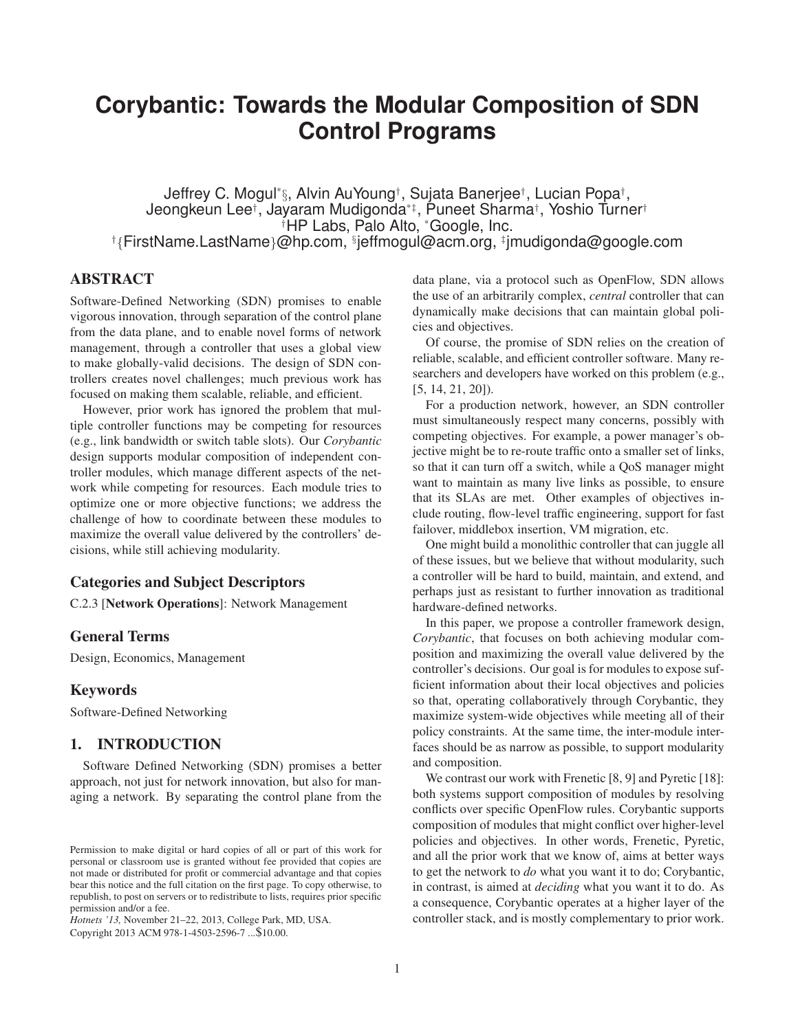# **Corybantic: Towards the Modular Composition of SDN Control Programs**

Jeffrey C. Mogul\* §, Alvin AuYoung† , Sujata Banerjee† , Lucian Popa† , Jeongkeun Lee† , Jayaram Mudigonda\*‡ , Puneet Sharma† , Yoshio Turner† †HP Labs, Palo Alto, \*Google, Inc. †{FirstName.LastName}@hp.com, § jeffmogul@acm.org, ‡ jmudigonda@google.com

# ABSTRACT

Software-Defined Networking (SDN) promises to enable vigorous innovation, through separation of the control plane from the data plane, and to enable novel forms of network management, through a controller that uses a global view to make globally-valid decisions. The design of SDN controllers creates novel challenges; much previous work has focused on making them scalable, reliable, and efficient.

However, prior work has ignored the problem that multiple controller functions may be competing for resources (e.g., link bandwidth or switch table slots). Our *Corybantic* design supports modular composition of independent controller modules, which manage different aspects of the network while competing for resources. Each module tries to optimize one or more objective functions; we address the challenge of how to coordinate between these modules to maximize the overall value delivered by the controllers' decisions, while still achieving modularity.

# Categories and Subject Descriptors

C.2.3 [Network Operations]: Network Management

# General Terms

Design, Economics, Management

#### Keywords

Software-Defined Networking

#### 1. INTRODUCTION

Software Defined Networking (SDN) promises a better approach, not just for network innovation, but also for managing a network. By separating the control plane from the

*Hotnets '13,* November 21–22, 2013, College Park, MD, USA. Copyright 2013 ACM 978-1-4503-2596-7 ...\$10.00.

data plane, via a protocol such as OpenFlow, SDN allows the use of an arbitrarily complex, *central* controller that can dynamically make decisions that can maintain global policies and objectives.

Of course, the promise of SDN relies on the creation of reliable, scalable, and efficient controller software. Many researchers and developers have worked on this problem (e.g., [5, 14, 21, 20]).

For a production network, however, an SDN controller must simultaneously respect many concerns, possibly with competing objectives. For example, a power manager's objective might be to re-route traffic onto a smaller set of links, so that it can turn off a switch, while a QoS manager might want to maintain as many live links as possible, to ensure that its SLAs are met. Other examples of objectives include routing, flow-level traffic engineering, support for fast failover, middlebox insertion, VM migration, etc.

One might build a monolithic controller that can juggle all of these issues, but we believe that without modularity, such a controller will be hard to build, maintain, and extend, and perhaps just as resistant to further innovation as traditional hardware-defined networks.

In this paper, we propose a controller framework design, *Corybantic*, that focuses on both achieving modular composition and maximizing the overall value delivered by the controller's decisions. Our goal is for modules to expose sufficient information about their local objectives and policies so that, operating collaboratively through Corybantic, they maximize system-wide objectives while meeting all of their policy constraints. At the same time, the inter-module interfaces should be as narrow as possible, to support modularity and composition.

We contrast our work with Frenetic [8, 9] and Pyretic [18]: both systems support composition of modules by resolving conflicts over specific OpenFlow rules. Corybantic supports composition of modules that might conflict over higher-level policies and objectives. In other words, Frenetic, Pyretic, and all the prior work that we know of, aims at better ways to get the network to *do* what you want it to do; Corybantic, in contrast, is aimed at *deciding* what you want it to do. As a consequence, Corybantic operates at a higher layer of the controller stack, and is mostly complementary to prior work.

Permission to make digital or hard copies of all or part of this work for personal or classroom use is granted without fee provided that copies are not made or distributed for profit or commercial advantage and that copies bear this notice and the full citation on the first page. To copy otherwise, to republish, to post on servers or to redistribute to lists, requires prior specific permission and/or a fee.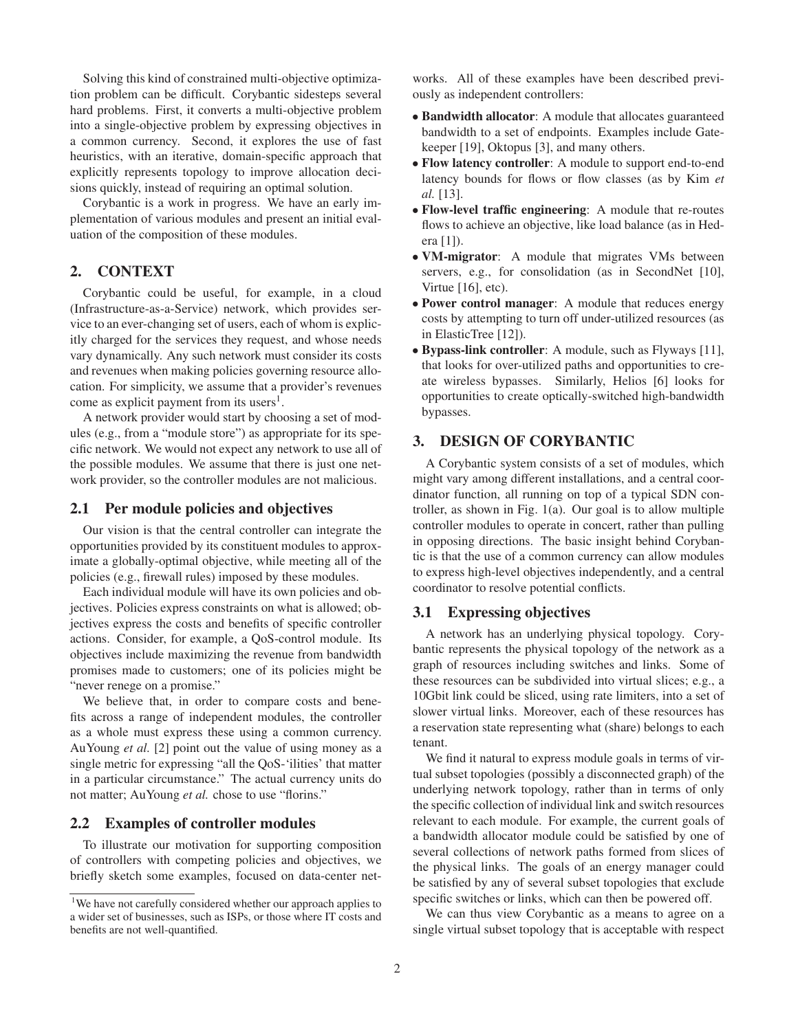Solving this kind of constrained multi-objective optimization problem can be difficult. Corybantic sidesteps several hard problems. First, it converts a multi-objective problem into a single-objective problem by expressing objectives in a common currency. Second, it explores the use of fast heuristics, with an iterative, domain-specific approach that explicitly represents topology to improve allocation decisions quickly, instead of requiring an optimal solution.

Corybantic is a work in progress. We have an early implementation of various modules and present an initial evaluation of the composition of these modules.

# 2. CONTEXT

Corybantic could be useful, for example, in a cloud (Infrastructure-as-a-Service) network, which provides service to an ever-changing set of users, each of whom is explicitly charged for the services they request, and whose needs vary dynamically. Any such network must consider its costs and revenues when making policies governing resource allocation. For simplicity, we assume that a provider's revenues come as explicit payment from its users<sup>1</sup>.

A network provider would start by choosing a set of modules (e.g., from a "module store") as appropriate for its specific network. We would not expect any network to use all of the possible modules. We assume that there is just one network provider, so the controller modules are not malicious.

# 2.1 Per module policies and objectives

Our vision is that the central controller can integrate the opportunities provided by its constituent modules to approximate a globally-optimal objective, while meeting all of the policies (e.g., firewall rules) imposed by these modules.

Each individual module will have its own policies and objectives. Policies express constraints on what is allowed; objectives express the costs and benefits of specific controller actions. Consider, for example, a QoS-control module. Its objectives include maximizing the revenue from bandwidth promises made to customers; one of its policies might be "never renege on a promise."

We believe that, in order to compare costs and benefits across a range of independent modules, the controller as a whole must express these using a common currency. AuYoung *et al.* [2] point out the value of using money as a single metric for expressing "all the QoS-'ilities' that matter in a particular circumstance." The actual currency units do not matter; AuYoung *et al.* chose to use "florins."

#### 2.2 Examples of controller modules

To illustrate our motivation for supporting composition of controllers with competing policies and objectives, we briefly sketch some examples, focused on data-center net-

works. All of these examples have been described previously as independent controllers:

- Bandwidth allocator: A module that allocates guaranteed bandwidth to a set of endpoints. Examples include Gatekeeper [19], Oktopus [3], and many others.
- Flow latency controller: A module to support end-to-end latency bounds for flows or flow classes (as by Kim *et al.* [13].
- Flow-level traffic engineering: A module that re-routes flows to achieve an objective, like load balance (as in Hedera [1]).
- VM-migrator: A module that migrates VMs between servers, e.g., for consolidation (as in SecondNet [10], Virtue  $[16]$ , etc).
- Power control manager: A module that reduces energy costs by attempting to turn off under-utilized resources (as in ElasticTree [12]).
- Bypass-link controller: A module, such as Flyways [11], that looks for over-utilized paths and opportunities to create wireless bypasses. Similarly, Helios [6] looks for opportunities to create optically-switched high-bandwidth bypasses.

# 3. DESIGN OF CORYBANTIC

A Corybantic system consists of a set of modules, which might vary among different installations, and a central coordinator function, all running on top of a typical SDN controller, as shown in Fig. 1(a). Our goal is to allow multiple controller modules to operate in concert, rather than pulling in opposing directions. The basic insight behind Corybantic is that the use of a common currency can allow modules to express high-level objectives independently, and a central coordinator to resolve potential conflicts.

# 3.1 Expressing objectives

A network has an underlying physical topology. Corybantic represents the physical topology of the network as a graph of resources including switches and links. Some of these resources can be subdivided into virtual slices; e.g., a 10Gbit link could be sliced, using rate limiters, into a set of slower virtual links. Moreover, each of these resources has a reservation state representing what (share) belongs to each tenant.

We find it natural to express module goals in terms of virtual subset topologies (possibly a disconnected graph) of the underlying network topology, rather than in terms of only the specific collection of individual link and switch resources relevant to each module. For example, the current goals of a bandwidth allocator module could be satisfied by one of several collections of network paths formed from slices of the physical links. The goals of an energy manager could be satisfied by any of several subset topologies that exclude specific switches or links, which can then be powered off.

We can thus view Corybantic as a means to agree on a single virtual subset topology that is acceptable with respect

<sup>&</sup>lt;sup>1</sup>We have not carefully considered whether our approach applies to a wider set of businesses, such as ISPs, or those where IT costs and benefits are not well-quantified.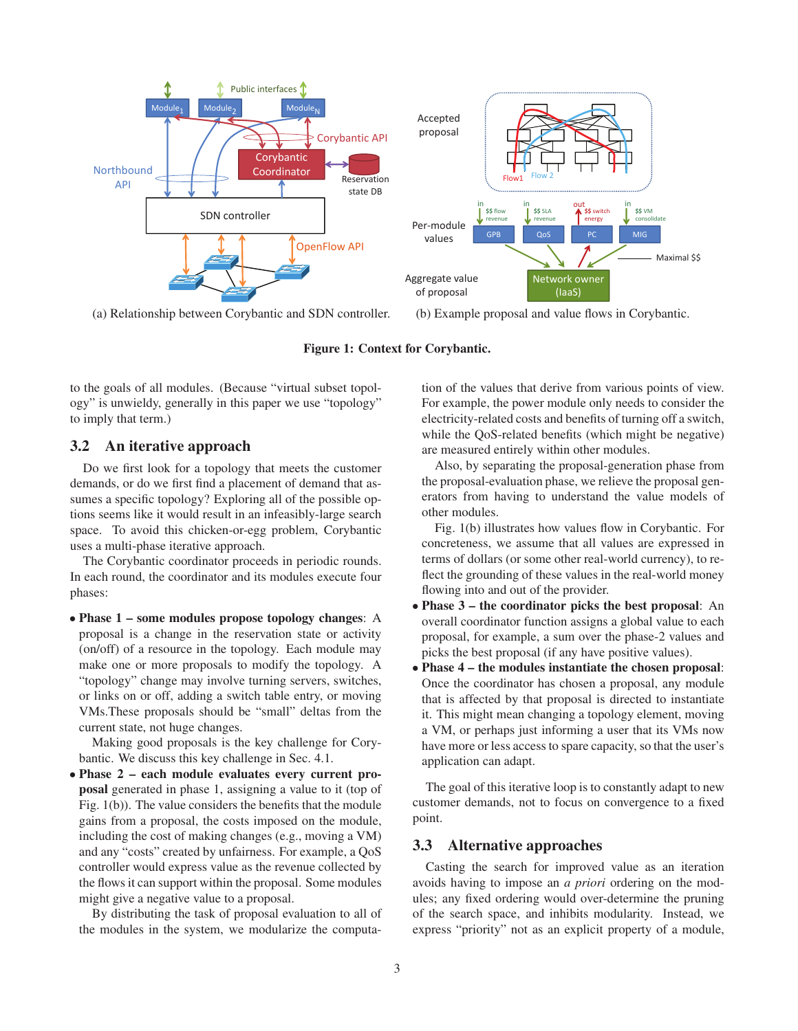

(a) Relationship between Corybantic and SDN controller.

(b) Example proposal and value flows in Corybantic.

#### Figure 1: Context for Corybantic.

to the goals of all modules. (Because "virtual subset topology" is unwieldy, generally in this paper we use "topology" to imply that term.)

# 3.2 An iterative approach

Do we first look for a topology that meets the customer demands, or do we first find a placement of demand that assumes a specific topology? Exploring all of the possible options seems like it would result in an infeasibly-large search space. To avoid this chicken-or-egg problem, Corybantic uses a multi-phase iterative approach.

The Corybantic coordinator proceeds in periodic rounds. In each round, the coordinator and its modules execute four phases:

• Phase 1 – some modules propose topology changes: A proposal is a change in the reservation state or activity (on/off) of a resource in the topology. Each module may make one or more proposals to modify the topology. A "topology" change may involve turning servers, switches, or links on or off, adding a switch table entry, or moving VMs.These proposals should be "small" deltas from the current state, not huge changes.

Making good proposals is the key challenge for Corybantic. We discuss this key challenge in Sec. 4.1.

• Phase 2 – each module evaluates every current proposal generated in phase 1, assigning a value to it (top of Fig. 1(b)). The value considers the benefits that the module gains from a proposal, the costs imposed on the module, including the cost of making changes (e.g., moving a VM) and any "costs" created by unfairness. For example, a QoS controller would express value as the revenue collected by the flows it can support within the proposal. Some modules might give a negative value to a proposal.

By distributing the task of proposal evaluation to all of the modules in the system, we modularize the computa-

tion of the values that derive from various points of view. For example, the power module only needs to consider the electricity-related costs and benefits of turning off a switch, while the OoS-related benefits (which might be negative) are measured entirely within other modules.

Also, by separating the proposal-generation phase from the proposal-evaluation phase, we relieve the proposal generators from having to understand the value models of other modules.

Fig. 1(b) illustrates how values flow in Corybantic. For concreteness, we assume that all values are expressed in terms of dollars (or some other real-world currency), to reflect the grounding of these values in the real-world money flowing into and out of the provider.

- Phase 3 the coordinator picks the best proposal: An overall coordinator function assigns a global value to each proposal, for example, a sum over the phase-2 values and picks the best proposal (if any have positive values).
- Phase 4 the modules instantiate the chosen proposal: Once the coordinator has chosen a proposal, any module that is affected by that proposal is directed to instantiate it. This might mean changing a topology element, moving a VM, or perhaps just informing a user that its VMs now have more or less access to spare capacity, so that the user's application can adapt.

The goal of this iterative loop is to constantly adapt to new customer demands, not to focus on convergence to a fixed point.

## 3.3 Alternative approaches

Casting the search for improved value as an iteration avoids having to impose an *a priori* ordering on the modules; any fixed ordering would over-determine the pruning of the search space, and inhibits modularity. Instead, we express "priority" not as an explicit property of a module,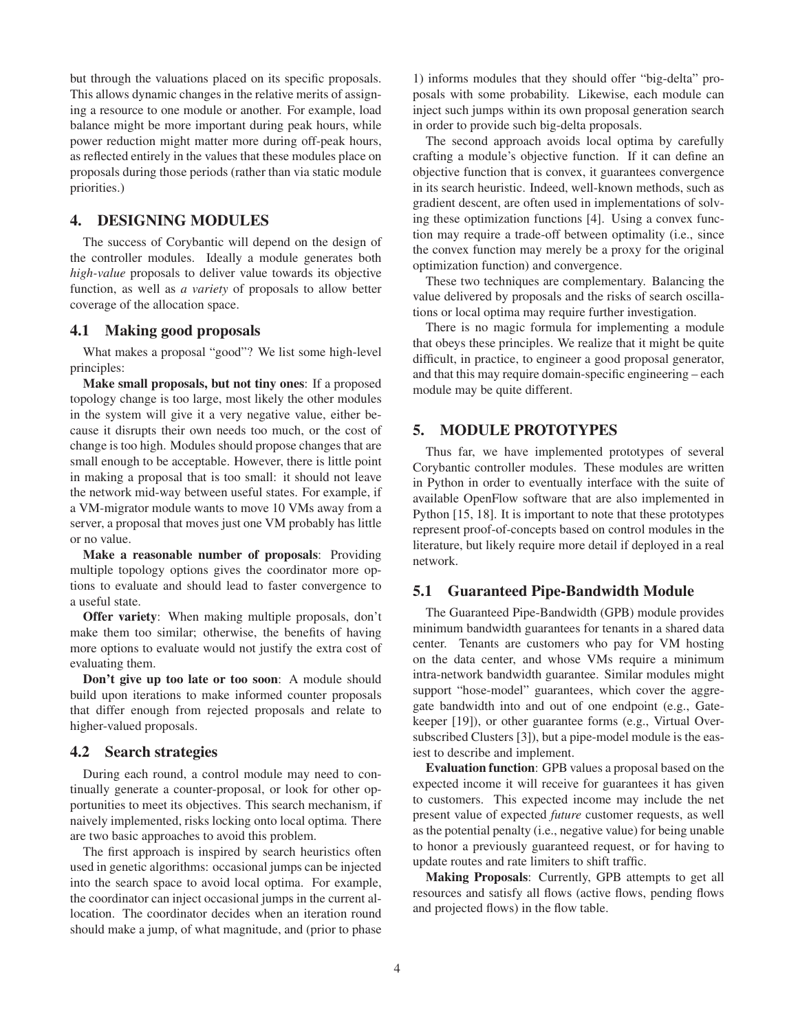but through the valuations placed on its specific proposals. This allows dynamic changes in the relative merits of assigning a resource to one module or another. For example, load balance might be more important during peak hours, while power reduction might matter more during off-peak hours, as reflected entirely in the values that these modules place on proposals during those periods (rather than via static module priorities.)

#### 4. DESIGNING MODULES

The success of Corybantic will depend on the design of the controller modules. Ideally a module generates both *high-value* proposals to deliver value towards its objective function, as well as *a variety* of proposals to allow better coverage of the allocation space.

# 4.1 Making good proposals

What makes a proposal "good"? We list some high-level principles:

Make small proposals, but not tiny ones: If a proposed topology change is too large, most likely the other modules in the system will give it a very negative value, either because it disrupts their own needs too much, or the cost of change is too high. Modules should propose changes that are small enough to be acceptable. However, there is little point in making a proposal that is too small: it should not leave the network mid-way between useful states. For example, if a VM-migrator module wants to move 10 VMs away from a server, a proposal that moves just one VM probably has little or no value.

Make a reasonable number of proposals: Providing multiple topology options gives the coordinator more options to evaluate and should lead to faster convergence to a useful state.

Offer variety: When making multiple proposals, don't make them too similar; otherwise, the benefits of having more options to evaluate would not justify the extra cost of evaluating them.

Don't give up too late or too soon: A module should build upon iterations to make informed counter proposals that differ enough from rejected proposals and relate to higher-valued proposals.

# 4.2 Search strategies

During each round, a control module may need to continually generate a counter-proposal, or look for other opportunities to meet its objectives. This search mechanism, if naively implemented, risks locking onto local optima. There are two basic approaches to avoid this problem.

The first approach is inspired by search heuristics often used in genetic algorithms: occasional jumps can be injected into the search space to avoid local optima. For example, the coordinator can inject occasional jumps in the current allocation. The coordinator decides when an iteration round should make a jump, of what magnitude, and (prior to phase

1) informs modules that they should offer "big-delta" proposals with some probability. Likewise, each module can inject such jumps within its own proposal generation search in order to provide such big-delta proposals.

The second approach avoids local optima by carefully crafting a module's objective function. If it can define an objective function that is convex, it guarantees convergence in its search heuristic. Indeed, well-known methods, such as gradient descent, are often used in implementations of solving these optimization functions [4]. Using a convex function may require a trade-off between optimality (i.e., since the convex function may merely be a proxy for the original optimization function) and convergence.

These two techniques are complementary. Balancing the value delivered by proposals and the risks of search oscillations or local optima may require further investigation.

There is no magic formula for implementing a module that obeys these principles. We realize that it might be quite difficult, in practice, to engineer a good proposal generator, and that this may require domain-specific engineering – each module may be quite different.

# 5. MODULE PROTOTYPES

Thus far, we have implemented prototypes of several Corybantic controller modules. These modules are written in Python in order to eventually interface with the suite of available OpenFlow software that are also implemented in Python [15, 18]. It is important to note that these prototypes represent proof-of-concepts based on control modules in the literature, but likely require more detail if deployed in a real network.

# 5.1 Guaranteed Pipe-Bandwidth Module

The Guaranteed Pipe-Bandwidth (GPB) module provides minimum bandwidth guarantees for tenants in a shared data center. Tenants are customers who pay for VM hosting on the data center, and whose VMs require a minimum intra-network bandwidth guarantee. Similar modules might support "hose-model" guarantees, which cover the aggregate bandwidth into and out of one endpoint (e.g., Gatekeeper [19]), or other guarantee forms (e.g., Virtual Oversubscribed Clusters [3]), but a pipe-model module is the easiest to describe and implement.

Evaluation function: GPB values a proposal based on the expected income it will receive for guarantees it has given to customers. This expected income may include the net present value of expected *future* customer requests, as well as the potential penalty (i.e., negative value) for being unable to honor a previously guaranteed request, or for having to update routes and rate limiters to shift traffic.

Making Proposals: Currently, GPB attempts to get all resources and satisfy all flows (active flows, pending flows and projected flows) in the flow table.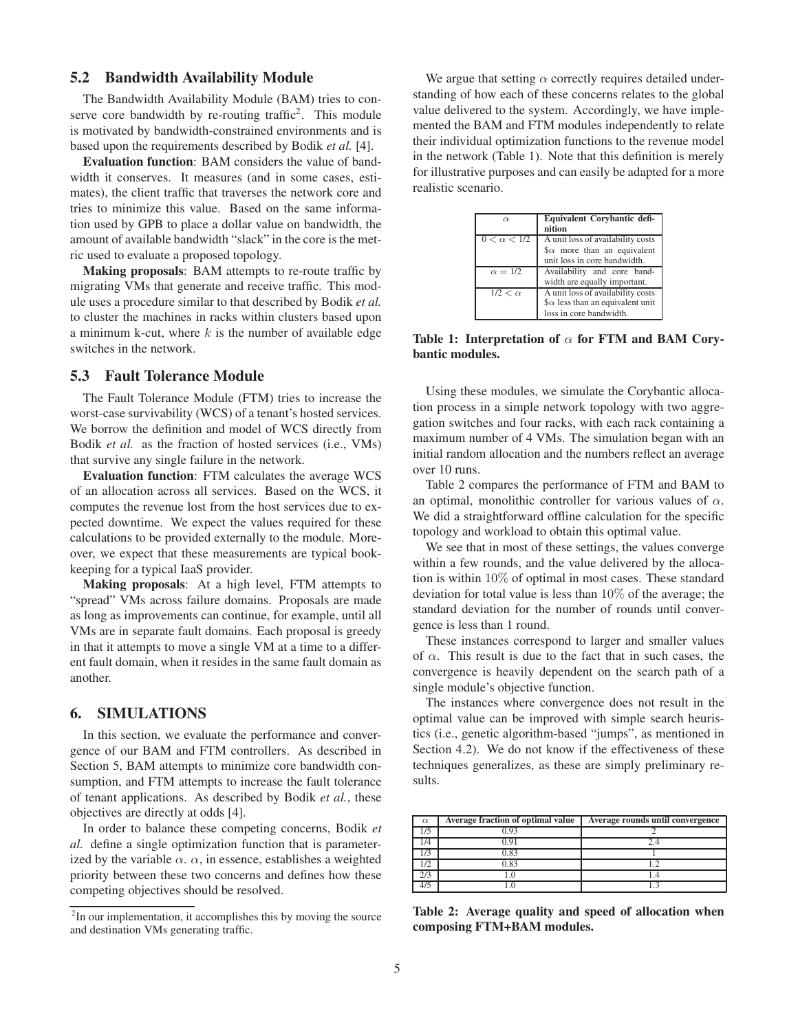# 5.2 Bandwidth Availability Module

The Bandwidth Availability Module (BAM) tries to conserve core bandwidth by re-routing traffic<sup>2</sup>. This module is motivated by bandwidth-constrained environments and is based upon the requirements described by Bodik *et al.* [4].

Evaluation function: BAM considers the value of bandwidth it conserves. It measures (and in some cases, estimates), the client traffic that traverses the network core and tries to minimize this value. Based on the same information used by GPB to place a dollar value on bandwidth, the amount of available bandwidth "slack" in the core is the metric used to evaluate a proposed topology.

Making proposals: BAM attempts to re-route traffic by migrating VMs that generate and receive traffic. This module uses a procedure similar to that described by Bodik *et al.* to cluster the machines in racks within clusters based upon a minimum k-cut, where  $k$  is the number of available edge switches in the network.

### 5.3 Fault Tolerance Module

The Fault Tolerance Module (FTM) tries to increase the worst-case survivability (WCS) of a tenant's hosted services. We borrow the definition and model of WCS directly from Bodik *et al.* as the fraction of hosted services (i.e., VMs) that survive any single failure in the network.

Evaluation function: FTM calculates the average WCS of an allocation across all services. Based on the WCS, it computes the revenue lost from the host services due to expected downtime. We expect the values required for these calculations to be provided externally to the module. Moreover, we expect that these measurements are typical bookkeeping for a typical IaaS provider.

Making proposals: At a high level, FTM attempts to "spread" VMs across failure domains. Proposals are made as long as improvements can continue, for example, until all VMs are in separate fault domains. Each proposal is greedy in that it attempts to move a single VM at a time to a different fault domain, when it resides in the same fault domain as another.

#### 6. SIMULATIONS

In this section, we evaluate the performance and convergence of our BAM and FTM controllers. As described in Section 5, BAM attempts to minimize core bandwidth consumption, and FTM attempts to increase the fault tolerance of tenant applications. As described by Bodik *et al.*, these objectives are directly at odds [4].

In order to balance these competing concerns, Bodik *et al.* define a single optimization function that is parameterized by the variable  $\alpha$ .  $\alpha$ , in essence, establishes a weighted priority between these two concerns and defines how these competing objectives should be resolved.

We argue that setting  $\alpha$  correctly requires detailed understanding of how each of these concerns relates to the global value delivered to the system. Accordingly, we have implemented the BAM and FTM modules independently to relate their individual optimization functions to the revenue model in the network (Table 1). Note that this definition is merely for illustrative purposes and can easily be adapted for a more realistic scenario.

| $\alpha$           | Equivalent Corybantic defi-<br>nition                                                                        |
|--------------------|--------------------------------------------------------------------------------------------------------------|
| $0 < \alpha < 1/2$ | A unit loss of availability costs<br>$\delta \alpha$ more than an equivalent<br>unit loss in core bandwidth. |
| $\alpha = 1/2$     | Availability and core band-<br>width are equally important.                                                  |
| $1/2 < \alpha$     | A unit loss of availability costs<br>$\delta \alpha$ less than an equivalent unit<br>loss in core bandwidth. |

Table 1: Interpretation of  $\alpha$  for FTM and BAM Corybantic modules.

Using these modules, we simulate the Corybantic allocation process in a simple network topology with two aggregation switches and four racks, with each rack containing a maximum number of 4 VMs. The simulation began with an initial random allocation and the numbers reflect an average over 10 runs.

Table 2 compares the performance of FTM and BAM to an optimal, monolithic controller for various values of  $\alpha$ . We did a straightforward offline calculation for the specific topology and workload to obtain this optimal value.

We see that in most of these settings, the values converge within a few rounds, and the value delivered by the allocation is within 10% of optimal in most cases. These standard deviation for total value is less than 10% of the average; the standard deviation for the number of rounds until convergence is less than 1 round.

These instances correspond to larger and smaller values of  $\alpha$ . This result is due to the fact that in such cases, the convergence is heavily dependent on the search path of a single module's objective function.

The instances where convergence does not result in the optimal value can be improved with simple search heuristics (i.e., genetic algorithm-based "jumps", as mentioned in Section 4.2). We do not know if the effectiveness of these techniques generalizes, as these are simply preliminary results.

| $\alpha$      | Average fraction of optimal value | Average rounds until convergence |
|---------------|-----------------------------------|----------------------------------|
| 1/5           | n 03                              |                                  |
| 14            |                                   |                                  |
| 1/3           | 0.83                              |                                  |
| $\frac{1}{2}$ | 0.83                              | ാ                                |
|               |                                   |                                  |
|               |                                   |                                  |

Table 2: Average quality and speed of allocation when composing FTM+BAM modules.

 $2$ In our implementation, it accomplishes this by moving the source and destination VMs generating traffic.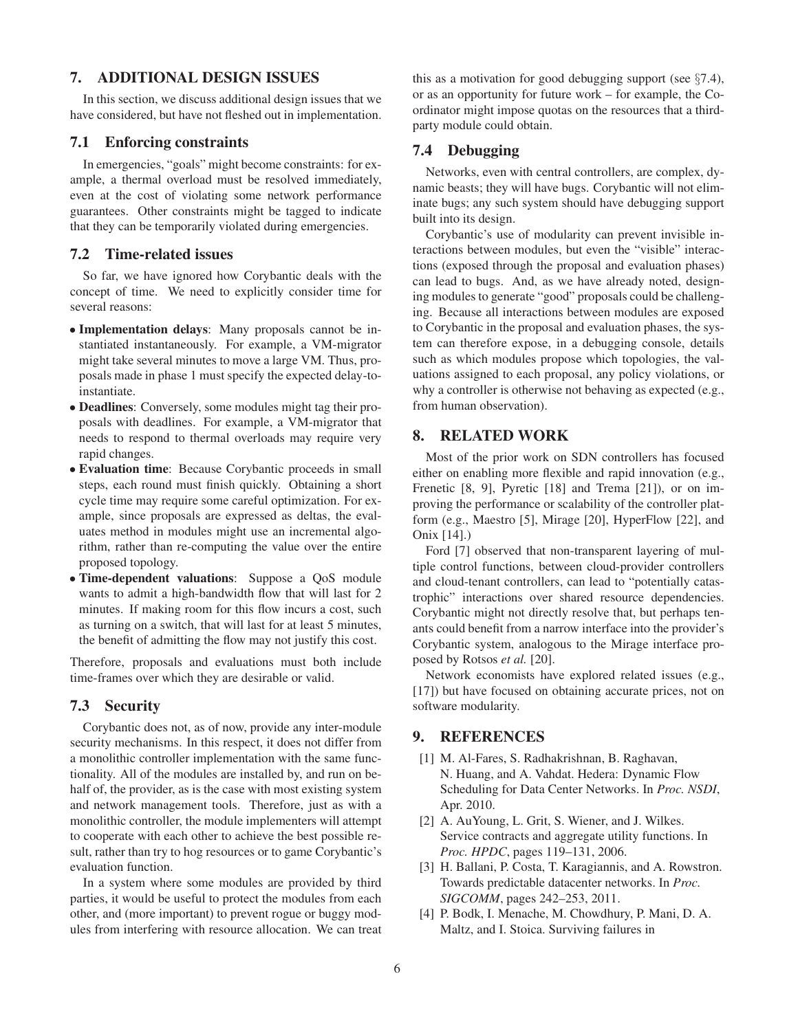# 7. ADDITIONAL DESIGN ISSUES

In this section, we discuss additional design issues that we have considered, but have not fleshed out in implementation.

# 7.1 Enforcing constraints

In emergencies, "goals" might become constraints: for example, a thermal overload must be resolved immediately, even at the cost of violating some network performance guarantees. Other constraints might be tagged to indicate that they can be temporarily violated during emergencies.

#### 7.2 Time-related issues

So far, we have ignored how Corybantic deals with the concept of time. We need to explicitly consider time for several reasons:

- Implementation delays: Many proposals cannot be instantiated instantaneously. For example, a VM-migrator might take several minutes to move a large VM. Thus, proposals made in phase 1 must specify the expected delay-toinstantiate.
- Deadlines: Conversely, some modules might tag their proposals with deadlines. For example, a VM-migrator that needs to respond to thermal overloads may require very rapid changes.
- Evaluation time: Because Corybantic proceeds in small steps, each round must finish quickly. Obtaining a short cycle time may require some careful optimization. For example, since proposals are expressed as deltas, the evaluates method in modules might use an incremental algorithm, rather than re-computing the value over the entire proposed topology.
- Time-dependent valuations: Suppose a QoS module wants to admit a high-bandwidth flow that will last for 2 minutes. If making room for this flow incurs a cost, such as turning on a switch, that will last for at least 5 minutes, the benefit of admitting the flow may not justify this cost.

Therefore, proposals and evaluations must both include time-frames over which they are desirable or valid.

# 7.3 Security

Corybantic does not, as of now, provide any inter-module security mechanisms. In this respect, it does not differ from a monolithic controller implementation with the same functionality. All of the modules are installed by, and run on behalf of, the provider, as is the case with most existing system and network management tools. Therefore, just as with a monolithic controller, the module implementers will attempt to cooperate with each other to achieve the best possible result, rather than try to hog resources or to game Corybantic's evaluation function.

In a system where some modules are provided by third parties, it would be useful to protect the modules from each other, and (more important) to prevent rogue or buggy modules from interfering with resource allocation. We can treat this as a motivation for good debugging support (see §7.4), or as an opportunity for future work – for example, the Coordinator might impose quotas on the resources that a thirdparty module could obtain.

# 7.4 Debugging

Networks, even with central controllers, are complex, dynamic beasts; they will have bugs. Corybantic will not eliminate bugs; any such system should have debugging support built into its design.

Corybantic's use of modularity can prevent invisible interactions between modules, but even the "visible" interactions (exposed through the proposal and evaluation phases) can lead to bugs. And, as we have already noted, designing modules to generate "good" proposals could be challenging. Because all interactions between modules are exposed to Corybantic in the proposal and evaluation phases, the system can therefore expose, in a debugging console, details such as which modules propose which topologies, the valuations assigned to each proposal, any policy violations, or why a controller is otherwise not behaving as expected (e.g., from human observation).

# 8. RELATED WORK

Most of the prior work on SDN controllers has focused either on enabling more flexible and rapid innovation (e.g., Frenetic [8, 9], Pyretic [18] and Trema [21]), or on improving the performance or scalability of the controller platform (e.g., Maestro [5], Mirage [20], HyperFlow [22], and Onix [14].)

Ford [7] observed that non-transparent layering of multiple control functions, between cloud-provider controllers and cloud-tenant controllers, can lead to "potentially catastrophic" interactions over shared resource dependencies. Corybantic might not directly resolve that, but perhaps tenants could benefit from a narrow interface into the provider's Corybantic system, analogous to the Mirage interface proposed by Rotsos *et al.* [20].

Network economists have explored related issues (e.g., [17]) but have focused on obtaining accurate prices, not on software modularity.

# 9. REFERENCES

- [1] M. Al-Fares, S. Radhakrishnan, B. Raghavan, N. Huang, and A. Vahdat. Hedera: Dynamic Flow Scheduling for Data Center Networks. In *Proc. NSDI*, Apr. 2010.
- [2] A. AuYoung, L. Grit, S. Wiener, and J. Wilkes. Service contracts and aggregate utility functions. In *Proc. HPDC*, pages 119–131, 2006.
- [3] H. Ballani, P. Costa, T. Karagiannis, and A. Rowstron. Towards predictable datacenter networks. In *Proc. SIGCOMM*, pages 242–253, 2011.
- [4] P. Bodk, I. Menache, M. Chowdhury, P. Mani, D. A. Maltz, and I. Stoica. Surviving failures in